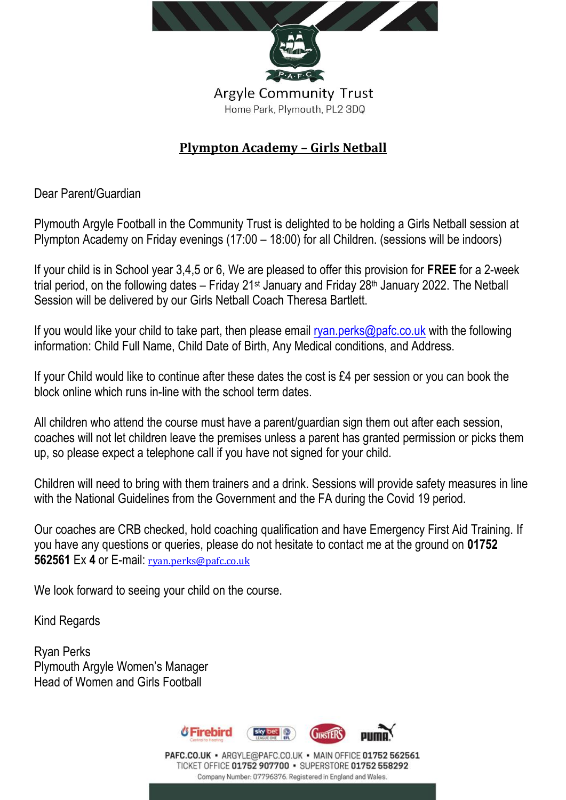

## **Plympton Academy – Girls Netball**

Dear Parent/Guardian

Plymouth Argyle Football in the Community Trust is delighted to be holding a Girls Netball session at Plympton Academy on Friday evenings (17:00 – 18:00) for all Children. (sessions will be indoors)

If your child is in School year 3,4,5 or 6, We are pleased to offer this provision for **FREE** for a 2-week trial period, on the following dates – Friday 21st January and Friday 28th January 2022. The Netball Session will be delivered by our Girls Netball Coach Theresa Bartlett.

If you would like your child to take part, then please email [ryan.perks@pafc.co.uk](mailto:ryan.perks@pafc.co.uk) with the following information: Child Full Name, Child Date of Birth, Any Medical conditions, and Address.

If your Child would like to continue after these dates the cost is £4 per session or you can book the block online which runs in-line with the school term dates.

All children who attend the course must have a parent/guardian sign them out after each session, coaches will not let children leave the premises unless a parent has granted permission or picks them up, so please expect a telephone call if you have not signed for your child.

Children will need to bring with them trainers and a drink. Sessions will provide safety measures in line with the National Guidelines from the Government and the FA during the Covid 19 period.

Our coaches are CRB checked, hold coaching qualification and have Emergency First Aid Training. If you have any questions or queries, please do not hesitate to contact me at the ground on **01752 562561** Ex **4** or E-mail: [ryan.perks@pafc.co.uk](mailto:ryan.perks@pafc.co.uk)

We look forward to seeing your child on the course.

Kind Regards

Ryan Perks Plymouth Argyle Women's Manager Head of Women and Girls Football



PAFC.CO.UK · ARGYLE@PAFC.CO.UK · MAIN OFFICE 01752 562561 TICKET OFFICE 01752 907700 · SUPERSTORE 01752 558292 Company Number: 07796376. Registered in England and Wales.